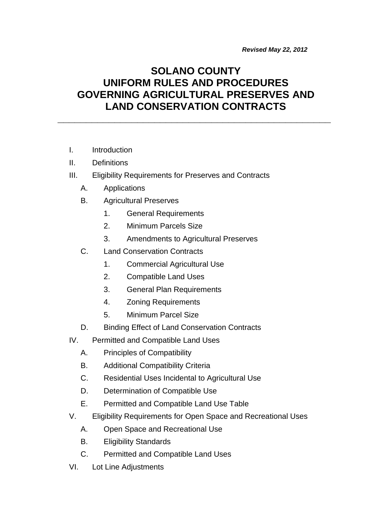*Revised May 22, 2012*

# **SOLANO COUNTY UNIFORM RULES AND PROCEDURES GOVERNING AGRICULTURAL PRESERVES AND LAND CONSERVATION CONTRACTS**

**\_\_\_\_\_\_\_\_\_\_\_\_\_\_\_\_\_\_\_\_\_\_\_\_\_\_\_\_\_\_\_\_\_\_\_\_\_\_\_\_\_\_\_\_\_\_\_\_**

- I. Introduction
- II. Definitions
- III. Eligibility Requirements for Preserves and Contracts
	- A. Applications
	- B. Agricultural Preserves
		- 1. General Requirements
		- 2. Minimum Parcels Size
		- 3. Amendments to Agricultural Preserves
	- C. Land Conservation Contracts
		- 1. Commercial Agricultural Use
		- 2. Compatible Land Uses
		- 3. General Plan Requirements
		- 4. Zoning Requirements
		- 5. Minimum Parcel Size
	- D. Binding Effect of Land Conservation Contracts
- IV. Permitted and Compatible Land Uses
	- A. Principles of Compatibility
	- B. Additional Compatibility Criteria
	- C. Residential Uses Incidental to Agricultural Use
	- D. Determination of Compatible Use
	- E. Permitted and Compatible Land Use Table
- V. Eligibility Requirements for Open Space and Recreational Uses
	- A. Open Space and Recreational Use
	- B. Eligibility Standards
	- C. Permitted and Compatible Land Uses
- VI. Lot Line Adjustments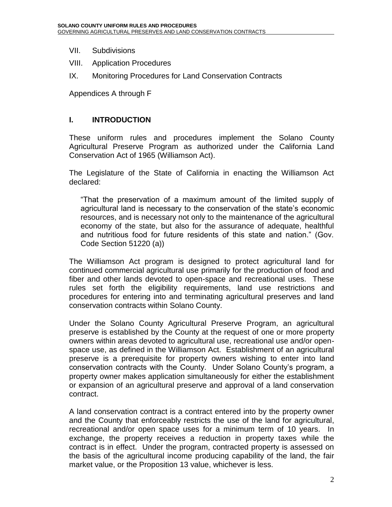- VII. Subdivisions
- VIII. Application Procedures
- IX. Monitoring Procedures for Land Conservation Contracts

Appendices A through F

#### **I. INTRODUCTION**

These uniform rules and procedures implement the Solano County Agricultural Preserve Program as authorized under the California Land Conservation Act of 1965 (Williamson Act).

The Legislature of the State of California in enacting the Williamson Act declared:

"That the preservation of a maximum amount of the limited supply of agricultural land is necessary to the conservation of the state's economic resources, and is necessary not only to the maintenance of the agricultural economy of the state, but also for the assurance of adequate, healthful and nutritious food for future residents of this state and nation." (Gov. Code Section 51220 (a))

The Williamson Act program is designed to protect agricultural land for continued commercial agricultural use primarily for the production of food and fiber and other lands devoted to open-space and recreational uses. These rules set forth the eligibility requirements, land use restrictions and procedures for entering into and terminating agricultural preserves and land conservation contracts within Solano County.

Under the Solano County Agricultural Preserve Program, an agricultural preserve is established by the County at the request of one or more property owners within areas devoted to agricultural use, recreational use and/or openspace use, as defined in the Williamson Act. Establishment of an agricultural preserve is a prerequisite for property owners wishing to enter into land conservation contracts with the County. Under Solano County's program, a property owner makes application simultaneously for either the establishment or expansion of an agricultural preserve and approval of a land conservation contract.

A land conservation contract is a contract entered into by the property owner and the County that enforceably restricts the use of the land for agricultural, recreational and/or open space uses for a minimum term of 10 years. In exchange, the property receives a reduction in property taxes while the contract is in effect. Under the program, contracted property is assessed on the basis of the agricultural income producing capability of the land, the fair market value, or the Proposition 13 value, whichever is less.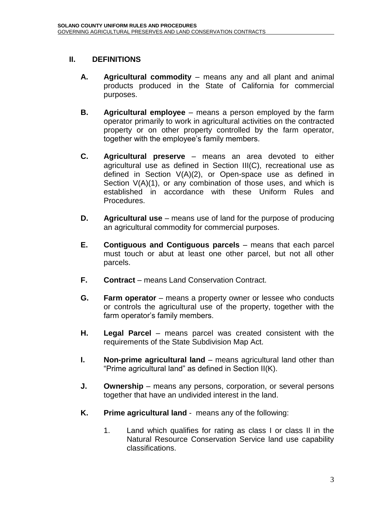#### **II. DEFINITIONS**

- **A. Agricultural commodity** means any and all plant and animal products produced in the State of California for commercial purposes.
- **B. Agricultural employee** means a person employed by the farm operator primarily to work in agricultural activities on the contracted property or on other property controlled by the farm operator, together with the employee's family members.
- **C. Agricultural preserve**  means an area devoted to either agricultural use as defined in Section III(C), recreational use as defined in Section V(A)(2), or Open-space use as defined in Section V(A)(1), or any combination of those uses, and which is established in accordance with these Uniform Rules and Procedures.
- **D. Agricultural use** means use of land for the purpose of producing an agricultural commodity for commercial purposes.
- **E. Contiguous and Contiguous parcels** means that each parcel must touch or abut at least one other parcel, but not all other parcels.
- **F. Contract** means Land Conservation Contract.
- **G. Farm operator** means a property owner or lessee who conducts or controls the agricultural use of the property, together with the farm operator's family members.
- **H. Legal Parcel** means parcel was created consistent with the requirements of the State Subdivision Map Act.
- **I. Non-prime agricultural land** means agricultural land other than "Prime agricultural land" as defined in Section II(K).
- **J. Ownership** means any persons, corporation, or several persons together that have an undivided interest in the land.
- **K. Prime agricultural land** means any of the following:
	- 1. Land which qualifies for rating as class I or class II in the Natural Resource Conservation Service land use capability classifications.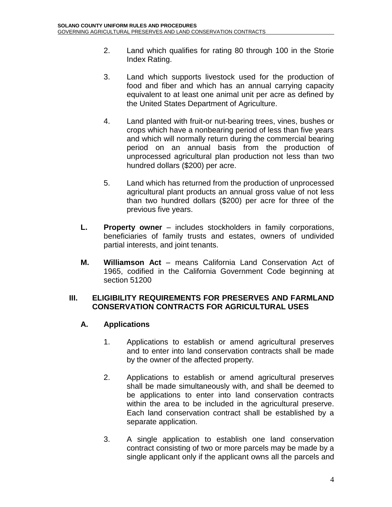- 2. Land which qualifies for rating 80 through 100 in the Storie Index Rating.
- 3. Land which supports livestock used for the production of food and fiber and which has an annual carrying capacity equivalent to at least one animal unit per acre as defined by the United States Department of Agriculture.
- 4. Land planted with fruit-or nut-bearing trees, vines, bushes or crops which have a nonbearing period of less than five years and which will normally return during the commercial bearing period on an annual basis from the production of unprocessed agricultural plan production not less than two hundred dollars (\$200) per acre.
- 5. Land which has returned from the production of unprocessed agricultural plant products an annual gross value of not less than two hundred dollars (\$200) per acre for three of the previous five years.
- **L. Property owner** includes stockholders in family corporations, beneficiaries of family trusts and estates, owners of undivided partial interests, and joint tenants.
- **M. Williamson Act** means California Land Conservation Act of 1965, codified in the California Government Code beginning at section 51200

#### **III. ELIGIBILITY REQUIREMENTS FOR PRESERVES AND FARMLAND CONSERVATION CONTRACTS FOR AGRICULTURAL USES**

#### **A. Applications**

- 1. Applications to establish or amend agricultural preserves and to enter into land conservation contracts shall be made by the owner of the affected property.
- 2. Applications to establish or amend agricultural preserves shall be made simultaneously with, and shall be deemed to be applications to enter into land conservation contracts within the area to be included in the agricultural preserve. Each land conservation contract shall be established by a separate application.
- 3. A single application to establish one land conservation contract consisting of two or more parcels may be made by a single applicant only if the applicant owns all the parcels and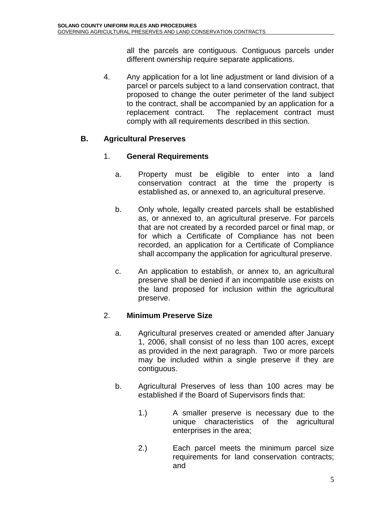all the parcels are contiguous. Contiguous parcels under different ownership require separate applications.

4. Any application for a lot line adjustment or land division of a parcel or parcels subject to a land conservation contract, that proposed to change the outer perimeter of the land subject to the contract, shall be accompanied by an application for a replacement contract. The replacement contract must comply with all requirements described in this section.

### **B. Agricultural Preserves**

#### 1. **General Requirements**

- a. Property must be eligible to enter into a land conservation contract at the time the property is established as, or annexed to, an agricultural preserve.
- b. Only whole, legally created parcels shall be established as, or annexed to, an agricultural preserve. For parcels that are not created by a recorded parcel or final map, or for which a Certificate of Compliance has not been recorded, an application for a Certificate of Compliance shall accompany the application for agricultural preserve.
- c. An application to establish, or annex to, an agricultural preserve shall be denied if an incompatible use exists on the land proposed for inclusion within the agricultural preserve.

#### 2. **Minimum Preserve Size**

- a. Agricultural preserves created or amended after January 1, 2006, shall consist of no less than 100 acres, except as provided in the next paragraph. Two or more parcels may be included within a single preserve if they are contiguous.
- b. Agricultural Preserves of less than 100 acres may be established if the Board of Supervisors finds that:
	- 1.) A smaller preserve is necessary due to the unique characteristics of the agricultural enterprises in the area;
	- 2.) Each parcel meets the minimum parcel size requirements for land conservation contracts; and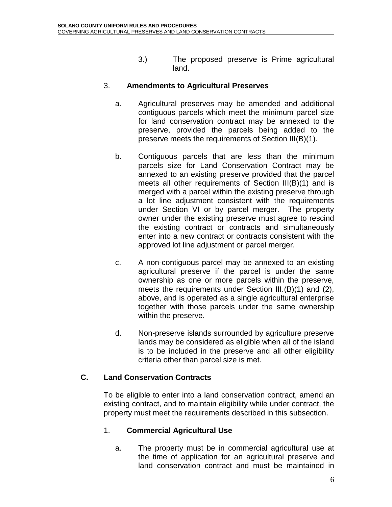3.) The proposed preserve is Prime agricultural land.

#### 3. **Amendments to Agricultural Preserves**

- a. Agricultural preserves may be amended and additional contiguous parcels which meet the minimum parcel size for land conservation contract may be annexed to the preserve, provided the parcels being added to the preserve meets the requirements of Section III(B)(1).
- b. Contiguous parcels that are less than the minimum parcels size for Land Conservation Contract may be annexed to an existing preserve provided that the parcel meets all other requirements of Section III(B)(1) and is merged with a parcel within the existing preserve through a lot line adjustment consistent with the requirements under Section VI or by parcel merger. The property owner under the existing preserve must agree to rescind the existing contract or contracts and simultaneously enter into a new contract or contracts consistent with the approved lot line adjustment or parcel merger.
- c. A non-contiguous parcel may be annexed to an existing agricultural preserve if the parcel is under the same ownership as one or more parcels within the preserve, meets the requirements under Section III.(B)(1) and (2), above, and is operated as a single agricultural enterprise together with those parcels under the same ownership within the preserve.
- d. Non-preserve islands surrounded by agriculture preserve lands may be considered as eligible when all of the island is to be included in the preserve and all other eligibility criteria other than parcel size is met.

#### **C. Land Conservation Contracts**

To be eligible to enter into a land conservation contract, amend an existing contract, and to maintain eligibility while under contract, the property must meet the requirements described in this subsection.

#### 1. **Commercial Agricultural Use**

a. The property must be in commercial agricultural use at the time of application for an agricultural preserve and land conservation contract and must be maintained in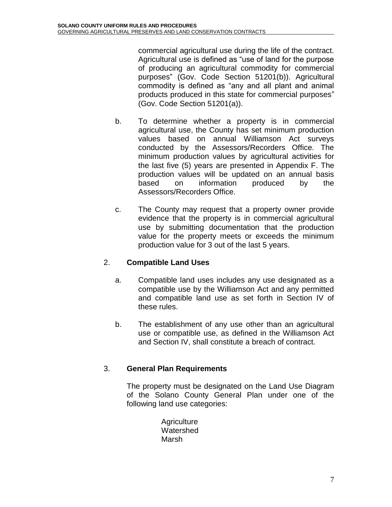commercial agricultural use during the life of the contract. Agricultural use is defined as "use of land for the purpose of producing an agricultural commodity for commercial purposes" (Gov. Code Section 51201(b)). Agricultural commodity is defined as "any and all plant and animal products produced in this state for commercial purposes" (Gov. Code Section 51201(a)).

- b. To determine whether a property is in commercial agricultural use, the County has set minimum production values based on annual Williamson Act surveys conducted by the Assessors/Recorders Office. The minimum production values by agricultural activities for the last five (5) years are presented in Appendix F. The production values will be updated on an annual basis based on information produced by the Assessors/Recorders Office.
- c. The County may request that a property owner provide evidence that the property is in commercial agricultural use by submitting documentation that the production value for the property meets or exceeds the minimum production value for 3 out of the last 5 years.

#### 2. **Compatible Land Uses**

- a. Compatible land uses includes any use designated as a compatible use by the Williamson Act and any permitted and compatible land use as set forth in Section IV of these rules.
- b. The establishment of any use other than an agricultural use or compatible use, as defined in the Williamson Act and Section IV, shall constitute a breach of contract.

#### 3. **General Plan Requirements**

The property must be designated on the Land Use Diagram of the Solano County General Plan under one of the following land use categories:

> **Agriculture** Watershed Marsh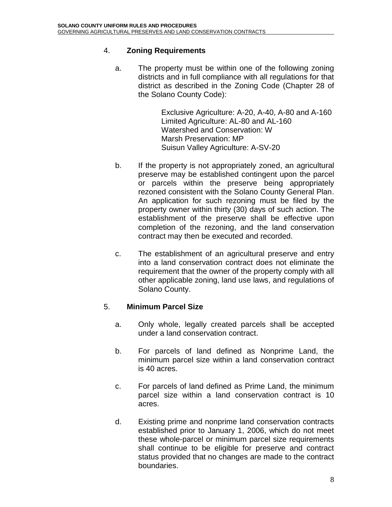#### 4. **Zoning Requirements**

a. The property must be within one of the following zoning districts and in full compliance with all regulations for that district as described in the Zoning Code (Chapter 28 of the Solano County Code):

> Exclusive Agriculture: A-20, A-40, A-80 and A-160 Limited Agriculture: AL-80 and AL-160 Watershed and Conservation: W Marsh Preservation: MP Suisun Valley Agriculture: A-SV-20

- b. If the property is not appropriately zoned, an agricultural preserve may be established contingent upon the parcel or parcels within the preserve being appropriately rezoned consistent with the Solano County General Plan. An application for such rezoning must be filed by the property owner within thirty (30) days of such action. The establishment of the preserve shall be effective upon completion of the rezoning, and the land conservation contract may then be executed and recorded.
- c. The establishment of an agricultural preserve and entry into a land conservation contract does not eliminate the requirement that the owner of the property comply with all other applicable zoning, land use laws, and regulations of Solano County.

#### 5. **Minimum Parcel Size**

- a. Only whole, legally created parcels shall be accepted under a land conservation contract.
- b. For parcels of land defined as Nonprime Land, the minimum parcel size within a land conservation contract is 40 acres.
- c. For parcels of land defined as Prime Land, the minimum parcel size within a land conservation contract is 10 acres.
- d. Existing prime and nonprime land conservation contracts established prior to January 1, 2006, which do not meet these whole-parcel or minimum parcel size requirements shall continue to be eligible for preserve and contract status provided that no changes are made to the contract boundaries.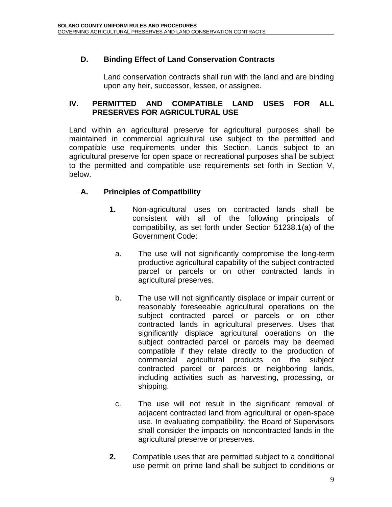### **D. Binding Effect of Land Conservation Contracts**

Land conservation contracts shall run with the land and are binding upon any heir, successor, lessee, or assignee.

#### **IV. PERMITTED AND COMPATIBLE LAND USES FOR ALL PRESERVES FOR AGRICULTURAL USE**

Land within an agricultural preserve for agricultural purposes shall be maintained in commercial agricultural use subject to the permitted and compatible use requirements under this Section. Lands subject to an agricultural preserve for open space or recreational purposes shall be subject to the permitted and compatible use requirements set forth in Section V, below.

### **A. Principles of Compatibility**

- **1.** Non-agricultural uses on contracted lands shall be consistent with all of the following principals of compatibility, as set forth under Section 51238.1(a) of the Government Code:
	- a. The use will not significantly compromise the long-term productive agricultural capability of the subject contracted parcel or parcels or on other contracted lands in agricultural preserves.
	- b. The use will not significantly displace or impair current or reasonably foreseeable agricultural operations on the subject contracted parcel or parcels or on other contracted lands in agricultural preserves. Uses that significantly displace agricultural operations on the subject contracted parcel or parcels may be deemed compatible if they relate directly to the production of commercial agricultural products on the subject contracted parcel or parcels or neighboring lands, including activities such as harvesting, processing, or shipping.
	- c. The use will not result in the significant removal of adjacent contracted land from agricultural or open-space use. In evaluating compatibility, the Board of Supervisors shall consider the impacts on noncontracted lands in the agricultural preserve or preserves.
- **2.** Compatible uses that are permitted subject to a conditional use permit on prime land shall be subject to conditions or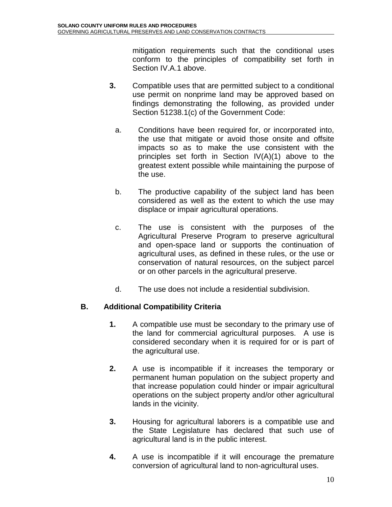mitigation requirements such that the conditional uses conform to the principles of compatibility set forth in Section IV.A.1 above.

- **3.** Compatible uses that are permitted subject to a conditional use permit on nonprime land may be approved based on findings demonstrating the following, as provided under Section 51238.1(c) of the Government Code:
	- a. Conditions have been required for, or incorporated into, the use that mitigate or avoid those onsite and offsite impacts so as to make the use consistent with the principles set forth in Section IV(A)(1) above to the greatest extent possible while maintaining the purpose of the use.
	- b. The productive capability of the subject land has been considered as well as the extent to which the use may displace or impair agricultural operations.
	- c. The use is consistent with the purposes of the Agricultural Preserve Program to preserve agricultural and open-space land or supports the continuation of agricultural uses, as defined in these rules, or the use or conservation of natural resources, on the subject parcel or on other parcels in the agricultural preserve.
	- d. The use does not include a residential subdivision.

### **B. Additional Compatibility Criteria**

- **1.** A compatible use must be secondary to the primary use of the land for commercial agricultural purposes. A use is considered secondary when it is required for or is part of the agricultural use.
- **2.** A use is incompatible if it increases the temporary or permanent human population on the subject property and that increase population could hinder or impair agricultural operations on the subject property and/or other agricultural lands in the vicinity.
- **3.** Housing for agricultural laborers is a compatible use and the State Legislature has declared that such use of agricultural land is in the public interest.
- **4.** A use is incompatible if it will encourage the premature conversion of agricultural land to non-agricultural uses.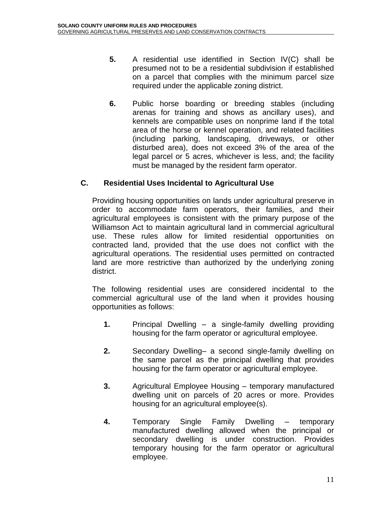- **5.** A residential use identified in Section IV(C) shall be presumed not to be a residential subdivision if established on a parcel that complies with the minimum parcel size required under the applicable zoning district.
- **6.** Public horse boarding or breeding stables (including arenas for training and shows as ancillary uses), and kennels are compatible uses on nonprime land if the total area of the horse or kennel operation, and related facilities (including parking, landscaping, driveways, or other disturbed area), does not exceed 3% of the area of the legal parcel or 5 acres, whichever is less, and; the facility must be managed by the resident farm operator.

### **C. Residential Uses Incidental to Agricultural Use**

Providing housing opportunities on lands under agricultural preserve in order to accommodate farm operators, their families, and their agricultural employees is consistent with the primary purpose of the Williamson Act to maintain agricultural land in commercial agricultural use. These rules allow for limited residential opportunities on contracted land, provided that the use does not conflict with the agricultural operations. The residential uses permitted on contracted land are more restrictive than authorized by the underlying zoning district.

The following residential uses are considered incidental to the commercial agricultural use of the land when it provides housing opportunities as follows:

- **1.** Principal Dwelling a single-family dwelling providing housing for the farm operator or agricultural employee.
- **2.** Secondary Dwelling– a second single-family dwelling on the same parcel as the principal dwelling that provides housing for the farm operator or agricultural employee.
- **3.** Agricultural Employee Housing temporary manufactured dwelling unit on parcels of 20 acres or more. Provides housing for an agricultural employee(s).
- **4.** Temporary Single Family Dwelling temporary manufactured dwelling allowed when the principal or secondary dwelling is under construction. Provides temporary housing for the farm operator or agricultural employee.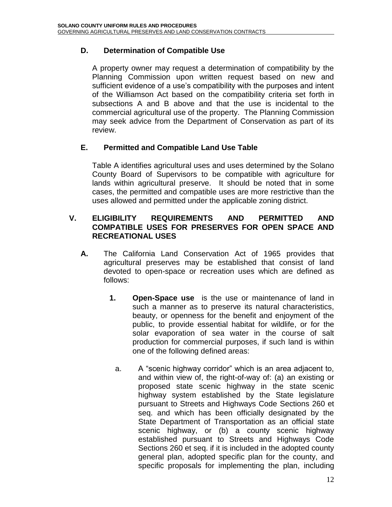#### **D. Determination of Compatible Use**

A property owner may request a determination of compatibility by the Planning Commission upon written request based on new and sufficient evidence of a use's compatibility with the purposes and intent of the Williamson Act based on the compatibility criteria set forth in subsections A and B above and that the use is incidental to the commercial agricultural use of the property. The Planning Commission may seek advice from the Department of Conservation as part of its review.

#### **E. Permitted and Compatible Land Use Table**

Table A identifies agricultural uses and uses determined by the Solano County Board of Supervisors to be compatible with agriculture for lands within agricultural preserve. It should be noted that in some cases, the permitted and compatible uses are more restrictive than the uses allowed and permitted under the applicable zoning district.

#### **V. ELIGIBILITY REQUIREMENTS AND PERMITTED AND COMPATIBLE USES FOR PRESERVES FOR OPEN SPACE AND RECREATIONAL USES**

- **A.** The California Land Conservation Act of 1965 provides that agricultural preserves may be established that consist of land devoted to open-space or recreation uses which are defined as follows:
	- **1. Open-Space use** is the use or maintenance of land in such a manner as to preserve its natural characteristics, beauty, or openness for the benefit and enjoyment of the public, to provide essential habitat for wildlife, or for the solar evaporation of sea water in the course of salt production for commercial purposes, if such land is within one of the following defined areas:
		- a. A "scenic highway corridor" which is an area adjacent to, and within view of, the right-of-way of: (a) an existing or proposed state scenic highway in the state scenic highway system established by the State legislature pursuant to Streets and Highways Code Sections 260 et seq. and which has been officially designated by the State Department of Transportation as an official state scenic highway, or (b) a county scenic highway established pursuant to Streets and Highways Code Sections 260 et seq. if it is included in the adopted county general plan, adopted specific plan for the county, and specific proposals for implementing the plan, including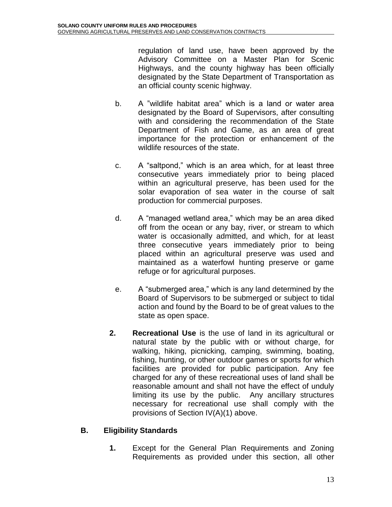regulation of land use, have been approved by the Advisory Committee on a Master Plan for Scenic Highways, and the county highway has been officially designated by the State Department of Transportation as an official county scenic highway.

- b. A "wildlife habitat area" which is a land or water area designated by the Board of Supervisors, after consulting with and considering the recommendation of the State Department of Fish and Game, as an area of great importance for the protection or enhancement of the wildlife resources of the state.
- c. A "saltpond," which is an area which, for at least three consecutive years immediately prior to being placed within an agricultural preserve, has been used for the solar evaporation of sea water in the course of salt production for commercial purposes.
- d. A "managed wetland area," which may be an area diked off from the ocean or any bay, river, or stream to which water is occasionally admitted, and which, for at least three consecutive years immediately prior to being placed within an agricultural preserve was used and maintained as a waterfowl hunting preserve or game refuge or for agricultural purposes.
- e. A "submerged area," which is any land determined by the Board of Supervisors to be submerged or subject to tidal action and found by the Board to be of great values to the state as open space.
- **2. Recreational Use** is the use of land in its agricultural or natural state by the public with or without charge, for walking, hiking, picnicking, camping, swimming, boating, fishing, hunting, or other outdoor games or sports for which facilities are provided for public participation. Any fee charged for any of these recreational uses of land shall be reasonable amount and shall not have the effect of unduly limiting its use by the public. Any ancillary structures necessary for recreational use shall comply with the provisions of Section IV(A)(1) above.

### **B. Eligibility Standards**

**1.** Except for the General Plan Requirements and Zoning Requirements as provided under this section, all other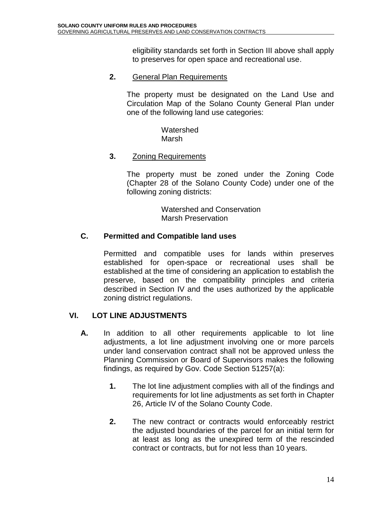eligibility standards set forth in Section III above shall apply to preserves for open space and recreational use.

#### **2.** General Plan Requirements

The property must be designated on the Land Use and Circulation Map of the Solano County General Plan under one of the following land use categories:

> **Watershed** Marsh

#### **3.** Zoning Requirements

The property must be zoned under the Zoning Code (Chapter 28 of the Solano County Code) under one of the following zoning districts:

> Watershed and Conservation Marsh Preservation

#### **C. Permitted and Compatible land uses**

Permitted and compatible uses for lands within preserves established for open-space or recreational uses shall be established at the time of considering an application to establish the preserve, based on the compatibility principles and criteria described in Section IV and the uses authorized by the applicable zoning district regulations.

#### **VI. LOT LINE ADJUSTMENTS**

- **A.** In addition to all other requirements applicable to lot line adjustments, a lot line adjustment involving one or more parcels under land conservation contract shall not be approved unless the Planning Commission or Board of Supervisors makes the following findings, as required by Gov. Code Section 51257(a):
	- **1.** The lot line adjustment complies with all of the findings and requirements for lot line adjustments as set forth in Chapter 26, Article IV of the Solano County Code.
	- **2.** The new contract or contracts would enforceably restrict the adjusted boundaries of the parcel for an initial term for at least as long as the unexpired term of the rescinded contract or contracts, but for not less than 10 years.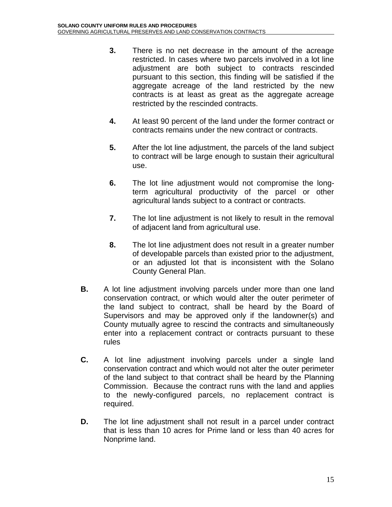- **3.** There is no net decrease in the amount of the acreage restricted. In cases where two parcels involved in a lot line adjustment are both subject to contracts rescinded pursuant to this section, this finding will be satisfied if the aggregate acreage of the land restricted by the new contracts is at least as great as the aggregate acreage restricted by the rescinded contracts.
- **4.** At least 90 percent of the land under the former contract or contracts remains under the new contract or contracts.
- **5.** After the lot line adjustment, the parcels of the land subject to contract will be large enough to sustain their agricultural use.
- **6.** The lot line adjustment would not compromise the longterm agricultural productivity of the parcel or other agricultural lands subject to a contract or contracts.
- **7.** The lot line adjustment is not likely to result in the removal of adjacent land from agricultural use.
- **8.** The lot line adjustment does not result in a greater number of developable parcels than existed prior to the adjustment, or an adjusted lot that is inconsistent with the Solano County General Plan.
- **B.** A lot line adjustment involving parcels under more than one land conservation contract, or which would alter the outer perimeter of the land subject to contract, shall be heard by the Board of Supervisors and may be approved only if the landowner(s) and County mutually agree to rescind the contracts and simultaneously enter into a replacement contract or contracts pursuant to these rules
- **C.** A lot line adjustment involving parcels under a single land conservation contract and which would not alter the outer perimeter of the land subject to that contract shall be heard by the Planning Commission. Because the contract runs with the land and applies to the newly-configured parcels, no replacement contract is required.
- **D.** The lot line adjustment shall not result in a parcel under contract that is less than 10 acres for Prime land or less than 40 acres for Nonprime land.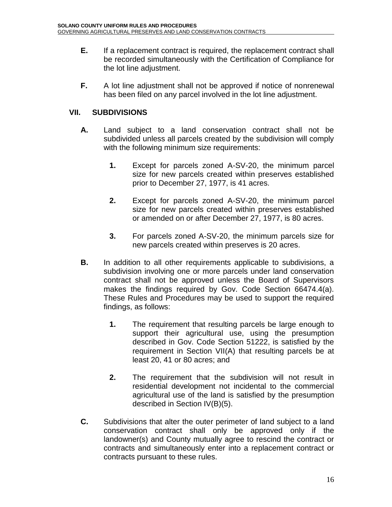- **E.** If a replacement contract is required, the replacement contract shall be recorded simultaneously with the Certification of Compliance for the lot line adjustment.
- **F.** A lot line adjustment shall not be approved if notice of nonrenewal has been filed on any parcel involved in the lot line adjustment.

### **VII. SUBDIVISIONS**

- **A.** Land subject to a land conservation contract shall not be subdivided unless all parcels created by the subdivision will comply with the following minimum size requirements:
	- **1.** Except for parcels zoned A-SV-20, the minimum parcel size for new parcels created within preserves established prior to December 27, 1977, is 41 acres.
	- **2.** Except for parcels zoned A-SV-20, the minimum parcel size for new parcels created within preserves established or amended on or after December 27, 1977, is 80 acres.
	- **3.** For parcels zoned A-SV-20, the minimum parcels size for new parcels created within preserves is 20 acres.
- **B.** In addition to all other requirements applicable to subdivisions, a subdivision involving one or more parcels under land conservation contract shall not be approved unless the Board of Supervisors makes the findings required by Gov. Code Section 66474.4(a). These Rules and Procedures may be used to support the required findings, as follows:
	- **1.** The requirement that resulting parcels be large enough to support their agricultural use, using the presumption described in Gov. Code Section 51222, is satisfied by the requirement in Section VII(A) that resulting parcels be at least 20, 41 or 80 acres; and
	- **2.** The requirement that the subdivision will not result in residential development not incidental to the commercial agricultural use of the land is satisfied by the presumption described in Section IV(B)(5).
- **C.** Subdivisions that alter the outer perimeter of land subject to a land conservation contract shall only be approved only if the landowner(s) and County mutually agree to rescind the contract or contracts and simultaneously enter into a replacement contract or contracts pursuant to these rules.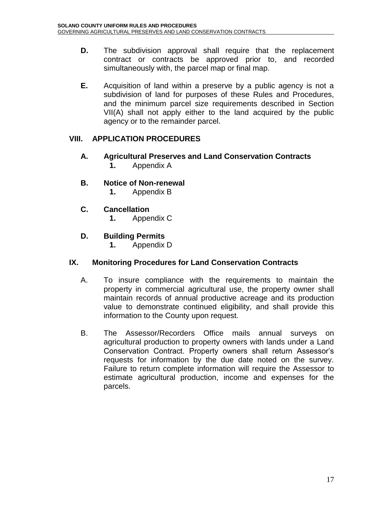- **D.** The subdivision approval shall require that the replacement contract or contracts be approved prior to, and recorded simultaneously with, the parcel map or final map.
- **E.** Acquisition of land within a preserve by a public agency is not a subdivision of land for purposes of these Rules and Procedures, and the minimum parcel size requirements described in Section VII(A) shall not apply either to the land acquired by the public agency or to the remainder parcel.

### **VIII. APPLICATION PROCEDURES**

- **A. Agricultural Preserves and Land Conservation Contracts 1.** Appendix A
- **B. Notice of Non-renewal**
	- **1.** Appendix B
- **C. Cancellation**
	- **1.** Appendix C
- **D. Building Permits**
	- **1.** Appendix D

#### **IX. Monitoring Procedures for Land Conservation Contracts**

- A. To insure compliance with the requirements to maintain the property in commercial agricultural use, the property owner shall maintain records of annual productive acreage and its production value to demonstrate continued eligibility, and shall provide this information to the County upon request.
- B. The Assessor/Recorders Office mails annual surveys on agricultural production to property owners with lands under a Land Conservation Contract. Property owners shall return Assessor's requests for information by the due date noted on the survey. Failure to return complete information will require the Assessor to estimate agricultural production, income and expenses for the parcels.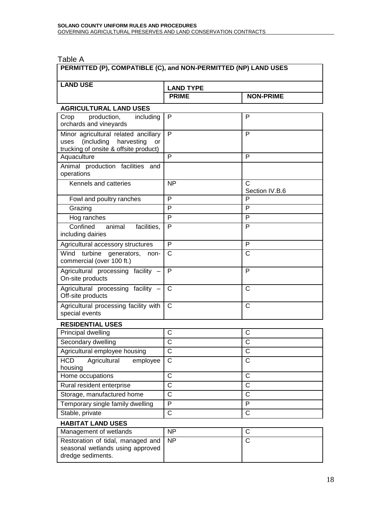Table A

| 1 UWIV 7 1<br>PERMITTED (P), COMPATIBLE (C), and NON-PERMITTED (NP) LAND USES                                               |                                  |                       |  |  |
|-----------------------------------------------------------------------------------------------------------------------------|----------------------------------|-----------------------|--|--|
| <b>LAND USE</b>                                                                                                             |                                  |                       |  |  |
|                                                                                                                             | <b>LAND TYPE</b><br><b>PRIME</b> | <b>NON-PRIME</b>      |  |  |
|                                                                                                                             |                                  |                       |  |  |
| <b>AGRICULTURAL LAND USES</b>                                                                                               |                                  |                       |  |  |
| production,<br>including<br>Crop<br>orchards and vineyards                                                                  | P                                | P                     |  |  |
| Minor agricultural related ancillary<br>(including harvesting<br>uses<br><b>or</b><br>trucking of onsite & offsite product) | P                                | P                     |  |  |
| Aquaculture                                                                                                                 | P                                | P                     |  |  |
| Animal production facilities and<br>operations                                                                              |                                  |                       |  |  |
| Kennels and catteries                                                                                                       | <b>NP</b>                        | C<br>Section IV.B.6   |  |  |
| Fowl and poultry ranches                                                                                                    | P                                | P                     |  |  |
| Grazing                                                                                                                     | P                                | P                     |  |  |
| Hog ranches                                                                                                                 | P                                | P                     |  |  |
| Confined<br>facilities,<br>animal<br>including dairies                                                                      | P                                | P                     |  |  |
| Agricultural accessory structures                                                                                           | P                                | P                     |  |  |
| turbine<br>Wind<br>generators, non-<br>commercial (over 100 ft.)                                                            | C                                | C                     |  |  |
| Agricultural processing facility -<br>On-site products                                                                      | P                                | P                     |  |  |
| Agricultural processing facility -<br>Off-site products                                                                     | C                                | C                     |  |  |
| Agricultural processing facility with<br>special events                                                                     | C                                | C                     |  |  |
| <b>RESIDENTIAL USES</b>                                                                                                     |                                  |                       |  |  |
| Principal dwelling                                                                                                          | C                                | C                     |  |  |
| Secondary dwelling                                                                                                          | C                                | $\overline{\text{c}}$ |  |  |
| Agricultural employee housing                                                                                               | С                                | C                     |  |  |
| <b>HCD</b><br>Agricultural<br>employee<br>housing                                                                           | C                                | $\mathsf{C}$          |  |  |
| Home occupations                                                                                                            | C                                | $\mathsf{C}$          |  |  |
| Rural resident enterprise                                                                                                   | C                                | C                     |  |  |
| Storage, manufactured home                                                                                                  | C                                | $\mathsf{C}$          |  |  |
| Temporary single family dwelling                                                                                            | P                                | P                     |  |  |
| Stable, private                                                                                                             | C                                | $\mathsf{C}$          |  |  |
| <b>HABITAT LAND USES</b>                                                                                                    |                                  |                       |  |  |
| Management of wetlands                                                                                                      | <b>NP</b>                        | C                     |  |  |
| Restoration of tidal, managed and<br>seasonal wetlands using approved<br>dredge sediments.                                  | <b>NP</b>                        | $\mathsf{C}$          |  |  |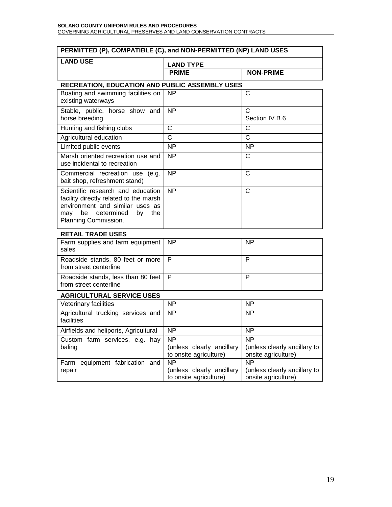#### **SOLANO COUNTY UNIFORM RULES AND PROCEDURES** GOVERNING AGRICULTURAL PRESERVES AND LAND CONSERVATION CONTRACTS

| PERMITTED (P), COMPATIBLE (C), and NON-PERMITTED (NP) LAND USES                                                                                                             |                                                                       |                                                                       |  |  |
|-----------------------------------------------------------------------------------------------------------------------------------------------------------------------------|-----------------------------------------------------------------------|-----------------------------------------------------------------------|--|--|
| <b>LAND USE</b>                                                                                                                                                             | <b>LAND TYPE</b>                                                      |                                                                       |  |  |
|                                                                                                                                                                             | <b>PRIME</b>                                                          | <b>NON-PRIME</b>                                                      |  |  |
|                                                                                                                                                                             | <b>RECREATION, EDUCATION AND PUBLIC ASSEMBLY USES</b>                 |                                                                       |  |  |
| Boating and swimming facilities on<br>existing waterways                                                                                                                    | <b>NP</b>                                                             | $\mathsf{C}$                                                          |  |  |
| Stable, public, horse show and<br>horse breeding                                                                                                                            | <b>NP</b>                                                             | C<br>Section IV.B.6                                                   |  |  |
| Hunting and fishing clubs                                                                                                                                                   | $\mathsf{C}$                                                          | C                                                                     |  |  |
| Agricultural education                                                                                                                                                      | $\mathsf{C}$                                                          | $\mathsf{C}$                                                          |  |  |
| Limited public events                                                                                                                                                       | <b>NP</b>                                                             | <b>NP</b>                                                             |  |  |
| Marsh oriented recreation use and<br>use incidental to recreation                                                                                                           | <b>NP</b>                                                             | C                                                                     |  |  |
| Commercial recreation use (e.g.<br>bait shop, refreshment stand)                                                                                                            | <b>NP</b>                                                             | $\mathsf{C}$                                                          |  |  |
| Scientific research and education<br>facility directly related to the marsh<br>environment and similar uses as<br>be determined<br>may<br>by<br>the<br>Planning Commission. | <b>NP</b>                                                             | $\mathsf{C}$                                                          |  |  |
| <b>RETAIL TRADE USES</b>                                                                                                                                                    |                                                                       |                                                                       |  |  |
| Farm supplies and farm equipment<br>sales                                                                                                                                   | <b>NP</b>                                                             | <b>NP</b>                                                             |  |  |
| Roadside stands, 80 feet or more<br>from street centerline                                                                                                                  | P                                                                     | P                                                                     |  |  |
| Roadside stands, less than 80 feet<br>from street centerline                                                                                                                | P                                                                     | P                                                                     |  |  |
| <b>AGRICULTURAL SERVICE USES</b>                                                                                                                                            |                                                                       |                                                                       |  |  |
| Veterinary facilities                                                                                                                                                       | NP                                                                    | NP                                                                    |  |  |
| Agricultural trucking services and<br>facilities                                                                                                                            | <b>NP</b>                                                             | <b>NP</b>                                                             |  |  |
| Airfields and heliports, Agricultural                                                                                                                                       | NP                                                                    | <b>NP</b>                                                             |  |  |
| Custom farm services, e.g. hay<br>baling                                                                                                                                    | N <sub>P</sub><br>(unless clearly ancillary<br>to onsite agriculture) | N <sub>P</sub><br>(unless clearly ancillary to<br>onsite agriculture) |  |  |
| Farm equipment fabrication and<br>repair                                                                                                                                    | <b>NP</b><br>(unless clearly ancillary<br>to onsite agriculture)      | N <sub>P</sub><br>(unless clearly ancillary to<br>onsite agriculture) |  |  |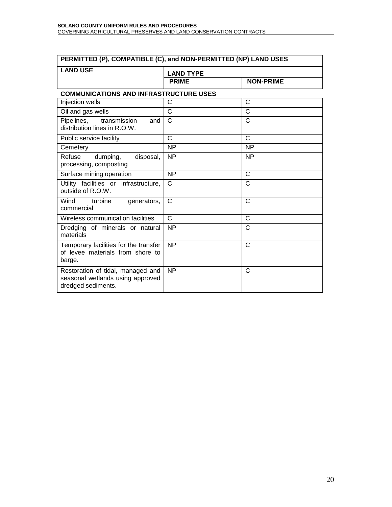| PERMITTED (P), COMPATIBLE (C), and NON-PERMITTED (NP) LAND USES                             |                  |                  |  |  |
|---------------------------------------------------------------------------------------------|------------------|------------------|--|--|
| <b>LAND USE</b>                                                                             | <b>LAND TYPE</b> |                  |  |  |
|                                                                                             | <b>PRIME</b>     | <b>NON-PRIME</b> |  |  |
| <b>COMMUNICATIONS AND INFRASTRUCTURE USES</b>                                               |                  |                  |  |  |
| Injection wells                                                                             | C                | C                |  |  |
| Oil and gas wells                                                                           | C                | C                |  |  |
| Pipelines,<br>transmission<br>and<br>distribution lines in R.O.W.                           | $\mathsf{C}$     | C                |  |  |
| Public service facility                                                                     | C                | $\mathsf{C}$     |  |  |
| Cemetery                                                                                    | <b>NP</b>        | <b>NP</b>        |  |  |
| Refuse<br>dumping,<br>disposal,<br>processing, composting                                   | $\overline{NP}$  | <b>NP</b>        |  |  |
| Surface mining operation                                                                    | <b>NP</b>        | C                |  |  |
| Utility facilities or infrastructure,<br>outside of R.O.W.                                  | $\mathsf{C}$     | C                |  |  |
| Wind<br>turbine<br>generators,<br>commercial                                                | $\mathsf{C}$     | C                |  |  |
| Wireless communication facilities                                                           | $\mathbf{C}$     | C                |  |  |
| Dredging of minerals or natural<br>materials                                                | <b>NP</b>        | C                |  |  |
| Temporary facilities for the transfer<br>of levee materials from shore to<br>barge.         | $\overline{NP}$  | $\mathsf{C}$     |  |  |
| Restoration of tidal, managed and<br>seasonal wetlands using approved<br>dredged sediments. | <b>NP</b>        | C                |  |  |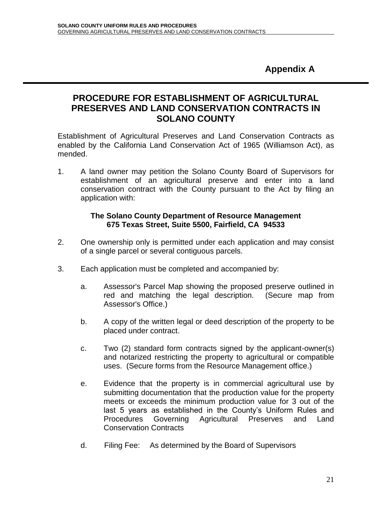**Appendix A**

### **PROCEDURE FOR ESTABLISHMENT OF AGRICULTURAL PRESERVES AND LAND CONSERVATION CONTRACTS IN SOLANO COUNTY**

Establishment of Agricultural Preserves and Land Conservation Contracts as enabled by the California Land Conservation Act of 1965 (Williamson Act), as mended.

1. A land owner may petition the Solano County Board of Supervisors for establishment of an agricultural preserve and enter into a land conservation contract with the County pursuant to the Act by filing an application with:

#### **The Solano County Department of Resource Management 675 Texas Street, Suite 5500, Fairfield, CA 94533**

- 2. One ownership only is permitted under each application and may consist of a single parcel or several contiguous parcels.
- 3. Each application must be completed and accompanied by:
	- a. Assessor's Parcel Map showing the proposed preserve outlined in red and matching the legal description. (Secure map from Assessor's Office.)
	- b. A copy of the written legal or deed description of the property to be placed under contract.
	- c. Two (2) standard form contracts signed by the applicant-owner(s) and notarized restricting the property to agricultural or compatible uses. (Secure forms from the Resource Management office.)
	- e. Evidence that the property is in commercial agricultural use by submitting documentation that the production value for the property meets or exceeds the minimum production value for 3 out of the last 5 years as established in the County's Uniform Rules and Procedures Governing Agricultural Preserves and Land Conservation Contracts
	- d. Filing Fee: As determined by the Board of Supervisors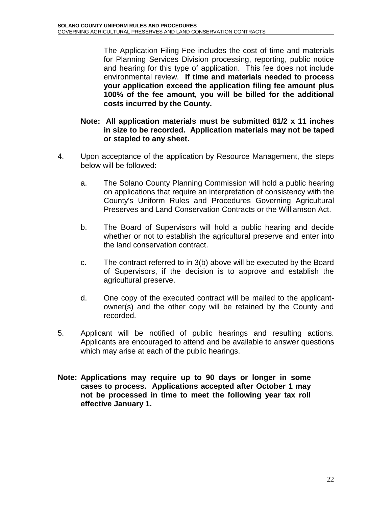The Application Filing Fee includes the cost of time and materials for Planning Services Division processing, reporting, public notice and hearing for this type of application. This fee does not include environmental review. **If time and materials needed to process your application exceed the application filing fee amount plus 100% of the fee amount, you will be billed for the additional costs incurred by the County.**

#### **Note: All application materials must be submitted 81/2 x 11 inches in size to be recorded. Application materials may not be taped or stapled to any sheet.**

- 4. Upon acceptance of the application by Resource Management, the steps below will be followed:
	- a. The Solano County Planning Commission will hold a public hearing on applications that require an interpretation of consistency with the County's Uniform Rules and Procedures Governing Agricultural Preserves and Land Conservation Contracts or the Williamson Act.
	- b. The Board of Supervisors will hold a public hearing and decide whether or not to establish the agricultural preserve and enter into the land conservation contract.
	- c. The contract referred to in 3(b) above will be executed by the Board of Supervisors, if the decision is to approve and establish the agricultural preserve.
	- d. One copy of the executed contract will be mailed to the applicantowner(s) and the other copy will be retained by the County and recorded.
- 5. Applicant will be notified of public hearings and resulting actions. Applicants are encouraged to attend and be available to answer questions which may arise at each of the public hearings.
- **Note: Applications may require up to 90 days or longer in some cases to process. Applications accepted after October 1 may not be processed in time to meet the following year tax roll effective January 1.**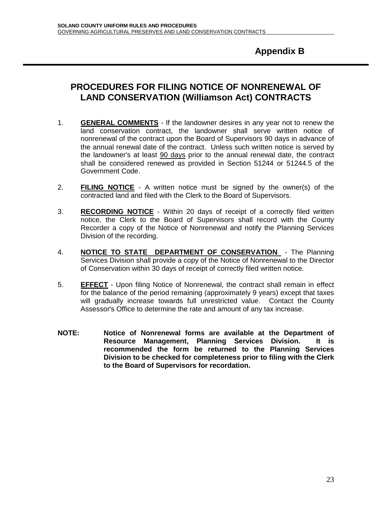## **Appendix B**

### **PROCEDURES FOR FILING NOTICE OF NONRENEWAL OF LAND CONSERVATION (Williamson Act) CONTRACTS**

- 1. **GENERAL COMMENTS** If the landowner desires in any year not to renew the land conservation contract, the landowner shall serve written notice of nonrenewal of the contract upon the Board of Supervisors 90 days in advance of the annual renewal date of the contract. Unless such written notice is served by the landowner's at least 90 days prior to the annual renewal date, the contract shall be considered renewed as provided in Section 51244 or 51244.5 of the Government Code.
- 2. **FILING NOTICE** A written notice must be signed by the owner(s) of the contracted land and filed with the Clerk to the Board of Supervisors.
- 3. **RECORDING NOTICE** Within 20 days of receipt of a correctly filed written notice, the Clerk to the Board of Supervisors shall record with the County Recorder a copy of the Notice of Nonrenewal and notify the Planning Services Division of the recording.
- 4. **NOTICE TO STATE DEPARTMENT OF CONSERVATION** The Planning Services Division shall provide a copy of the Notice of Nonrenewal to the Director of Conservation within 30 days of receipt of correctly filed written notice.
- 5. **EFFECT** Upon filing Notice of Nonrenewal, the contract shall remain in effect for the balance of the period remaining (approximately 9 years) except that taxes will gradually increase towards full unrestricted value. Contact the County Assessor's Office to determine the rate and amount of any tax increase.
- **NOTE: Notice of Nonrenewal forms are available at the Department of Resource Management, Planning Services Division. It is recommended the form be returned to the Planning Services Division to be checked for completeness prior to filing with the Clerk to the Board of Supervisors for recordation.**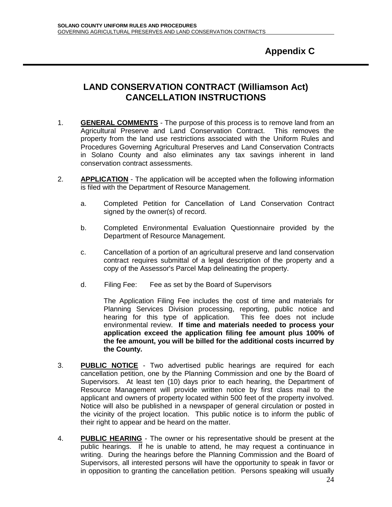## **LAND CONSERVATION CONTRACT (Williamson Act) CANCELLATION INSTRUCTIONS**

- 1. **GENERAL COMMENTS** The purpose of this process is to remove land from an Agricultural Preserve and Land Conservation Contract. This removes the property from the land use restrictions associated with the Uniform Rules and Procedures Governing Agricultural Preserves and Land Conservation Contracts in Solano County and also eliminates any tax savings inherent in land conservation contract assessments.
- 2. **APPLICATION** The application will be accepted when the following information is filed with the Department of Resource Management.
	- a. Completed Petition for Cancellation of Land Conservation Contract signed by the owner(s) of record.
	- b. Completed Environmental Evaluation Questionnaire provided by the Department of Resource Management.
	- c. Cancellation of a portion of an agricultural preserve and land conservation contract requires submittal of a legal description of the property and a copy of the Assessor's Parcel Map delineating the property.
	- d. Filing Fee: Fee as set by the Board of Supervisors

The Application Filing Fee includes the cost of time and materials for Planning Services Division processing, reporting, public notice and hearing for this type of application. This fee does not include environmental review. **If time and materials needed to process your application exceed the application filing fee amount plus 100% of the fee amount, you will be billed for the additional costs incurred by the County.** 

- 3. **PUBLIC NOTICE** Two advertised public hearings are required for each cancellation petition, one by the Planning Commission and one by the Board of Supervisors. At least ten (10) days prior to each hearing, the Department of Resource Management will provide written notice by first class mail to the applicant and owners of property located within 500 feet of the property involved. Notice will also be published in a newspaper of general circulation or posted in the vicinity of the project location. This public notice is to inform the public of their right to appear and be heard on the matter.
- 4. **PUBLIC HEARING** The owner or his representative should be present at the public hearings. If he is unable to attend, he may request a continuance in writing. During the hearings before the Planning Commission and the Board of Supervisors, all interested persons will have the opportunity to speak in favor or in opposition to granting the cancellation petition. Persons speaking will usually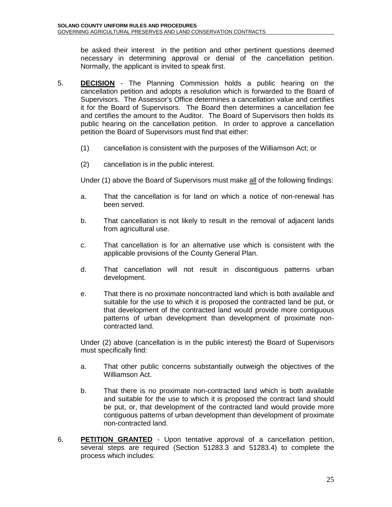be asked their interest in the petition and other pertinent questions deemed necessary in determining approval or denial of the cancellation petition. Normally, the applicant is invited to speak first.

- 5. **DECISION** The Planning Commission holds a public hearing on the cancellation petition and adopts a resolution which is forwarded to the Board of Supervisors. The Assessor's Office determines a cancellation value and certifies it for the Board of Supervisors. The Board then determines a cancellation fee and certifies the amount to the Auditor. The Board of Supervisors then holds its public hearing on the cancellation petition. In order to approve a cancellation petition the Board of Supervisors must find that either:
	- (1) cancellation is consistent with the purposes of the Williamson Act; or
	- (2) cancellation is in the public interest.

Under (1) above the Board of Supervisors must make all of the following findings:

- a. That the cancellation is for land on which a notice of non-renewal has been served.
- b. That cancellation is not likely to result in the removal of adjacent lands from agricultural use.
- c. That cancellation is for an alternative use which is consistent with the applicable provisions of the County General Plan.
- d. That cancellation will not result in discontiguous patterns urban development.
- e. That there is no proximate noncontracted land which is both available and suitable for the use to which it is proposed the contracted land be put, or that development of the contracted land would provide more contiguous patterns of urban development than development of proximate noncontracted land.

Under (2) above (cancellation is in the public interest) the Board of Supervisors must specifically find:

- a. That other public concerns substantially outweigh the objectives of the Williamson Act.
- b. That there is no proximate non-contracted land which is both available and suitable for the use to which it is proposed the contract land should be put, or, that development of the contracted land would provide more contiguous patterns of urban development than development of proximate non-contracted land.
- 6. **PETITION GRANTED** Upon tentative approval of a cancellation petition, several steps are required (Section 51283.3 and 51283.4) to complete the process which includes: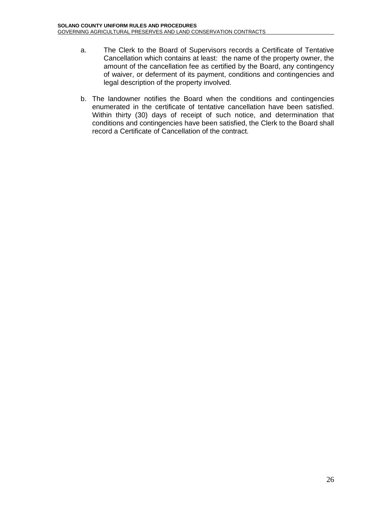- a. The Clerk to the Board of Supervisors records a Certificate of Tentative Cancellation which contains at least: the name of the property owner, the amount of the cancellation fee as certified by the Board, any contingency of waiver, or deferment of its payment, conditions and contingencies and legal description of the property involved.
- b. The landowner notifies the Board when the conditions and contingencies enumerated in the certificate of tentative cancellation have been satisfied. Within thirty (30) days of receipt of such notice, and determination that conditions and contingencies have been satisfied, the Clerk to the Board shall record a Certificate of Cancellation of the contract.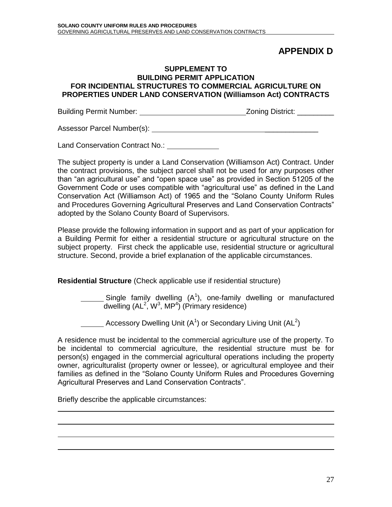## **APPENDIX D**

#### **SUPPLEMENT TO BUILDING PERMIT APPLICATION FOR INCIDENTIAL STRUCTURES TO COMMERCIAL AGRICULTURE ON PROPERTIES UNDER LAND CONSERVATION (Williamson Act) CONTRACTS**

Building Permit Number: Zoning District: \_\_\_\_\_\_\_\_\_

Assessor Parcel Number(s): \_\_\_\_\_\_\_\_\_\_\_\_\_

Land Conservation Contract No.:

The subject property is under a Land Conservation (Williamson Act) Contract. Under the contract provisions, the subject parcel shall not be used for any purposes other than "an agricultural use" and "open space use" as provided in Section 51205 of the Government Code or uses compatible with "agricultural use" as defined in the Land Conservation Act (Williamson Act) of 1965 and the "Solano County Uniform Rules and Procedures Governing Agricultural Preserves and Land Conservation Contracts" adopted by the Solano County Board of Supervisors.

Please provide the following information in support and as part of your application for a Building Permit for either a residential structure or agricultural structure on the subject property. First check the applicable use, residential structure or agricultural structure. Second, provide a brief explanation of the applicable circumstances.

**Residential Structure** (Check applicable use if residential structure)

Single family dwelling  $(A^1)$ , one-family dwelling or manufactured dwelling  $(AL^2, W^3, MP^4)$  (Primary residence)

Accessory Dwelling Unit  $(A^1)$  or Secondary Living Unit  $(AL^2)$ 

A residence must be incidental to the commercial agriculture use of the property. To be incidental to commercial agriculture, the residential structure must be for person(s) engaged in the commercial agricultural operations including the property owner, agriculturalist (property owner or lessee), or agricultural employee and their families as defined in the "Solano County Uniform Rules and Procedures Governing Agricultural Preserves and Land Conservation Contracts".

Briefly describe the applicable circumstances: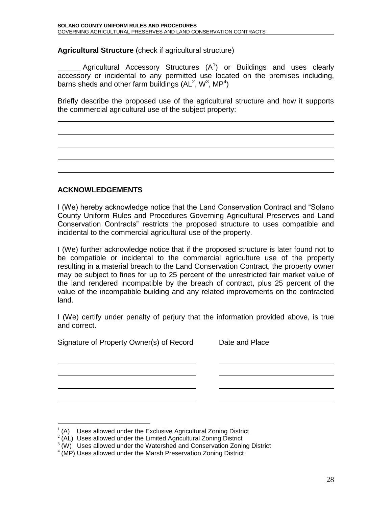**Agricultural Structure** (check if agricultural structure)

Agricultural Accessory Structures  $(A^1)$  or Buildings and uses clearly accessory or incidental to any permitted use located on the premises including, barns sheds and other farm buildings (AL<sup>2</sup>, W<sup>3</sup>, MP<sup>4</sup>)

Briefly describe the proposed use of the agricultural structure and how it supports the commercial agricultural use of the subject property:

#### **ACKNOWLEDGEMENTS**

I (We) hereby acknowledge notice that the Land Conservation Contract and "Solano County Uniform Rules and Procedures Governing Agricultural Preserves and Land Conservation Contracts" restricts the proposed structure to uses compatible and incidental to the commercial agricultural use of the property.

I (We) further acknowledge notice that if the proposed structure is later found not to be compatible or incidental to the commercial agriculture use of the property resulting in a material breach to the Land Conservation Contract, the property owner may be subject to fines for up to 25 percent of the unrestricted fair market value of the land rendered incompatible by the breach of contract, plus 25 percent of the value of the incompatible building and any related improvements on the contracted land.

I (We) certify under penalty of perjury that the information provided above, is true and correct.

Signature of Property Owner(s) of Record Date and Place

 $\overline{a}$ 

1 (A) Uses allowed under the Exclusive Agricultural Zoning District

 $2(AL)$  Uses allowed under the Limited Agricultural Zoning District

 $3$  (W) Uses allowed under the Watershed and Conservation Zoning District

<sup>&</sup>lt;sup>4</sup> (MP) Uses allowed under the Marsh Preservation Zoning District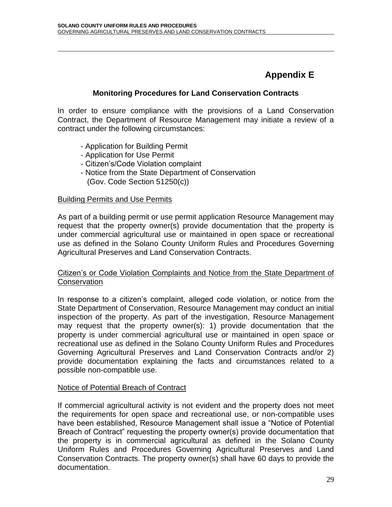# **Appendix E**

#### **Monitoring Procedures for Land Conservation Contracts**

In order to ensure compliance with the provisions of a Land Conservation Contract, the Department of Resource Management may initiate a review of a contract under the following circumstances:

- Application for Building Permit
- Application for Use Permit
- Citizen's/Code Violation complaint
- Notice from the State Department of Conservation (Gov. Code Section 51250(c))

#### Building Permits and Use Permits

 $\overline{a}$ 

As part of a building permit or use permit application Resource Management may request that the property owner(s) provide documentation that the property is under commercial agricultural use or maintained in open space or recreational use as defined in the Solano County Uniform Rules and Procedures Governing Agricultural Preserves and Land Conservation Contracts.

#### Citizen's or Code Violation Complaints and Notice from the State Department of **Conservation**

In response to a citizen's complaint, alleged code violation, or notice from the State Department of Conservation, Resource Management may conduct an initial inspection of the property. As part of the investigation, Resource Management may request that the property owner(s): 1) provide documentation that the property is under commercial agricultural use or maintained in open space or recreational use as defined in the Solano County Uniform Rules and Procedures Governing Agricultural Preserves and Land Conservation Contracts and/or 2) provide documentation explaining the facts and circumstances related to a possible non-compatible use.

#### Notice of Potential Breach of Contract

If commercial agricultural activity is not evident and the property does not meet the requirements for open space and recreational use, or non-compatible uses have been established, Resource Management shall issue a "Notice of Potential Breach of Contract" requesting the property owner(s) provide documentation that the property is in commercial agricultural as defined in the Solano County Uniform Rules and Procedures Governing Agricultural Preserves and Land Conservation Contracts. The property owner(s) shall have 60 days to provide the documentation.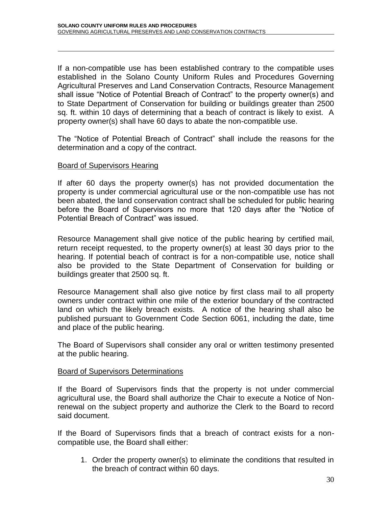If a non-compatible use has been established contrary to the compatible uses established in the Solano County Uniform Rules and Procedures Governing Agricultural Preserves and Land Conservation Contracts, Resource Management shall issue "Notice of Potential Breach of Contract" to the property owner(s) and to State Department of Conservation for building or buildings greater than 2500 sq. ft. within 10 days of determining that a beach of contract is likely to exist. A property owner(s) shall have 60 days to abate the non-compatible use.

The "Notice of Potential Breach of Contract" shall include the reasons for the determination and a copy of the contract.

#### Board of Supervisors Hearing

 $\overline{a}$ 

If after 60 days the property owner(s) has not provided documentation the property is under commercial agricultural use or the non-compatible use has not been abated, the land conservation contract shall be scheduled for public hearing before the Board of Supervisors no more that 120 days after the "Notice of Potential Breach of Contract" was issued.

Resource Management shall give notice of the public hearing by certified mail, return receipt requested, to the property owner(s) at least 30 days prior to the hearing. If potential beach of contract is for a non-compatible use, notice shall also be provided to the State Department of Conservation for building or buildings greater that 2500 sq. ft.

Resource Management shall also give notice by first class mail to all property owners under contract within one mile of the exterior boundary of the contracted land on which the likely breach exists. A notice of the hearing shall also be published pursuant to Government Code Section 6061, including the date, time and place of the public hearing.

The Board of Supervisors shall consider any oral or written testimony presented at the public hearing.

#### Board of Supervisors Determinations

If the Board of Supervisors finds that the property is not under commercial agricultural use, the Board shall authorize the Chair to execute a Notice of Nonrenewal on the subject property and authorize the Clerk to the Board to record said document.

If the Board of Supervisors finds that a breach of contract exists for a noncompatible use, the Board shall either:

1. Order the property owner(s) to eliminate the conditions that resulted in the breach of contract within 60 days.